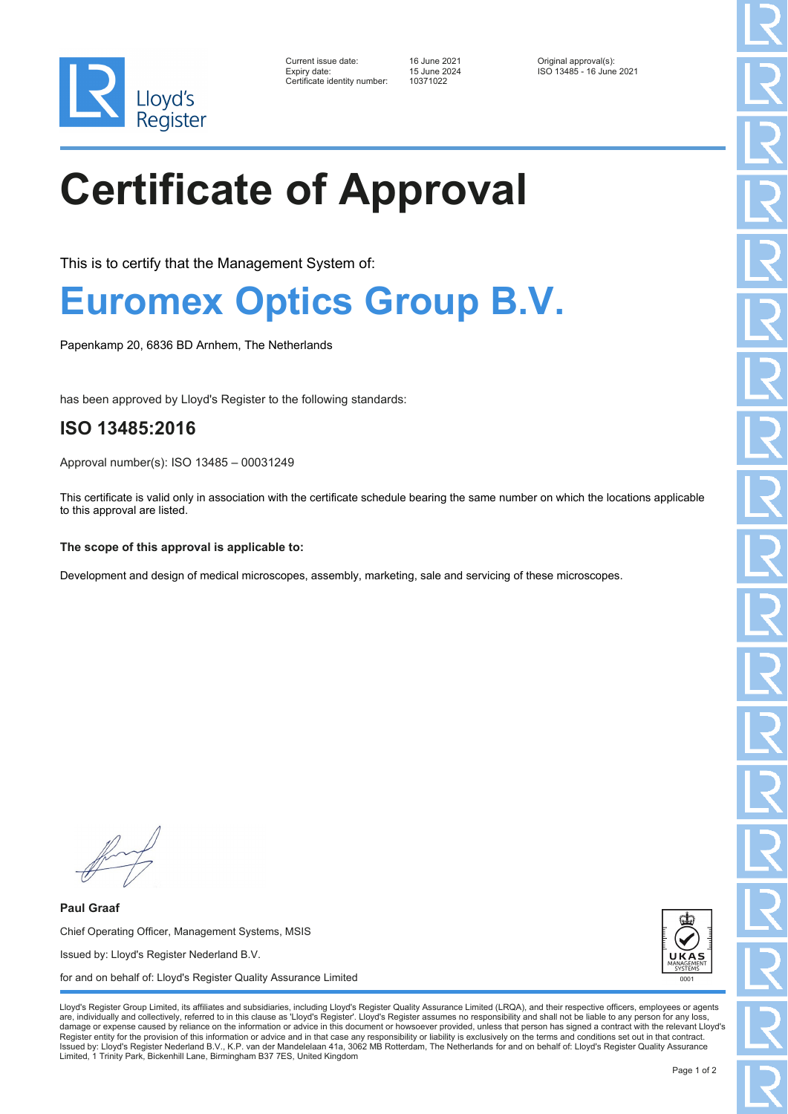

| Current issue date:          | 16 June 2021 | Original approval(s):    |
|------------------------------|--------------|--------------------------|
| Expiry date:                 | 15 June 2024 | ISO 13485 - 16 June 2021 |
| Certificate identity number: | 10371022     |                          |

Certificate identity number: 10371022

# **Certificate of Approval**

This is to certify that the Management System of:

### **Euromex Optics Group B.V.**

Papenkamp 20, 6836 BD Arnhem, The Netherlands

has been approved by Lloyd's Register to the following standards:

### **ISO 13485:2016**

Approval number(s): ISO 13485 – 00031249

This certificate is valid only in association with the certificate schedule bearing the same number on which the locations applicable to this approval are listed.

#### **The scope of this approval is applicable to:**

Development and design of medical microscopes, assembly, marketing, sale and servicing of these microscopes.

**Paul Graaf** Chief Operating Officer, Management Systems, MSIS Issued by: Lloyd's Register Nederland B.V. for and on behalf of: Lloyd's Register Quality Assurance Limited



Lloyd's Register Group Limited, its affiliates and subsidiaries, including Lloyd's Register Quality Assurance Limited (LRQA), and their respective officers, employees or agents are, individually and collectively, referred to in this clause as 'Lloyd's Register'. Lloyd's Register assumes no responsibility and shall not be liable to any person for any los damage or expense caused by reliance on the information or advice in this document or howsoever provided, unless that person has signed a contract with the relevant Lloyd's<br>Register entity for the provision of this informa Issued by: Lloyd's Register Nederland B.V., K.P. van der Mandelelaan 41a, 3062 MB Rotterdam, The Netherlands for and on behalf of: Lloyd's Register Quality Assurance Limited, 1 Trinity Park, Bickenhill Lane, Birmingham B37 7ES, United Kingdom